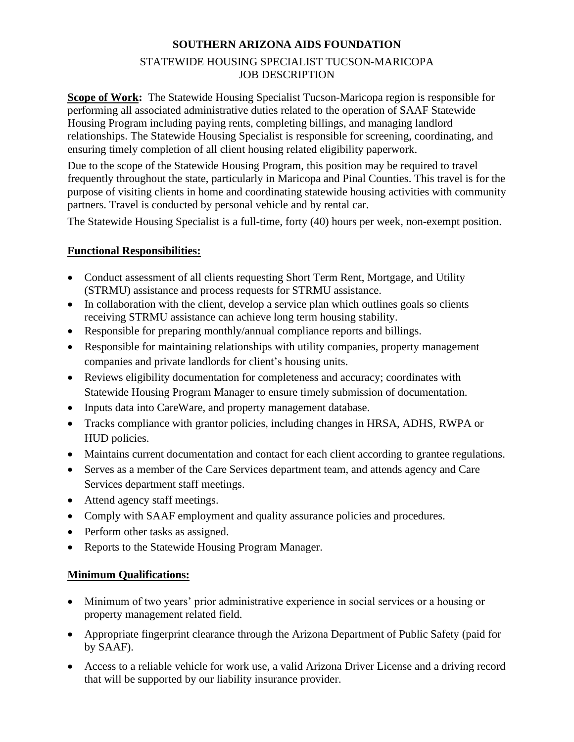## **SOUTHERN ARIZONA AIDS FOUNDATION** STATEWIDE HOUSING SPECIALIST TUCSON-MARICOPA JOB DESCRIPTION

**Scope of Work:** The Statewide Housing Specialist Tucson-Maricopa region is responsible for performing all associated administrative duties related to the operation of SAAF Statewide Housing Program including paying rents, completing billings, and managing landlord relationships. The Statewide Housing Specialist is responsible for screening, coordinating, and ensuring timely completion of all client housing related eligibility paperwork.

Due to the scope of the Statewide Housing Program, this position may be required to travel frequently throughout the state, particularly in Maricopa and Pinal Counties. This travel is for the purpose of visiting clients in home and coordinating statewide housing activities with community partners. Travel is conducted by personal vehicle and by rental car.

The Statewide Housing Specialist is a full-time, forty (40) hours per week, non-exempt position.

## **Functional Responsibilities:**

- Conduct assessment of all clients requesting Short Term Rent, Mortgage, and Utility (STRMU) assistance and process requests for STRMU assistance.
- In collaboration with the client, develop a service plan which outlines goals so clients receiving STRMU assistance can achieve long term housing stability.
- Responsible for preparing monthly/annual compliance reports and billings.
- Responsible for maintaining relationships with utility companies, property management companies and private landlords for client's housing units.
- Reviews eligibility documentation for completeness and accuracy; coordinates with Statewide Housing Program Manager to ensure timely submission of documentation.
- Inputs data into CareWare, and property management database.
- Tracks compliance with grantor policies, including changes in HRSA, ADHS, RWPA or HUD policies.
- Maintains current documentation and contact for each client according to grantee regulations.
- Serves as a member of the Care Services department team, and attends agency and Care Services department staff meetings.
- Attend agency staff meetings.
- Comply with SAAF employment and quality assurance policies and procedures.
- Perform other tasks as assigned.
- Reports to the Statewide Housing Program Manager.

## **Minimum Qualifications:**

- Minimum of two years' prior administrative experience in social services or a housing or property management related field.
- Appropriate fingerprint clearance through the Arizona Department of Public Safety (paid for by SAAF).
- Access to a reliable vehicle for work use, a valid Arizona Driver License and a driving record that will be supported by our liability insurance provider.